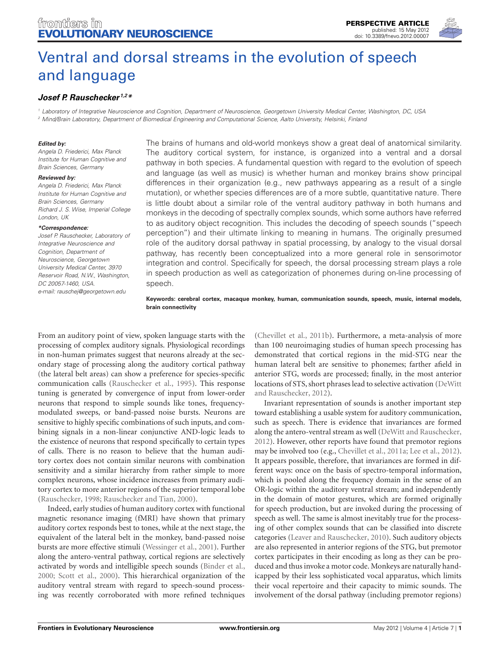

# [Ventral and dorsal streams in the evolution of speech](http://www.frontiersin.org/Evolutionary_Neuroscience/10.3389/fnevo.2012.00007/abstract) and language

## *[Josef P. Rauschecker](http://www.frontiersin.org/Community/WhosWhoActivity.aspx?sname=JosefRauschecker&UID=8974) 1,2\**

*<sup>1</sup> Laboratory of Integrative Neuroscience and Cognition, Department of Neuroscience, Georgetown University Medical Center, Washington, DC, USA <sup>2</sup> Mind/Brain Laboratory, Department of Biomedical Engineering and Computational Science, Aalto University, Helsinki, Finland*

#### *Edited by:*

*Angela D. Friederici, Max Planck Institute for Human Cognitive and Brain Sciences, Germany*

#### *Reviewed by:*

*Angela D. Friederici, Max Planck Institute for Human Cognitive and Brain Sciences, Germany Richard J. S. Wise, Imperial College London, UK*

#### *\*Correspondence:*

*Josef P. Rauschecker, Laboratory of Integrative Neuroscience and Cognition, Department of Neuroscience, Georgetown University Medical Center, 3970 Reservoir Road, N.W., Washington, DC 20057-1460, USA. e-mail: rauschej@georgetown.edu*

The brains of humans and old-world monkeys show a great deal of anatomical similarity. The auditory cortical system, for instance, is organized into a ventral and a dorsal pathway in both species. A fundamental question with regard to the evolution of speech and language (as well as music) is whether human and monkey brains show principal differences in their organization (e.g., new pathways appearing as a result of a single mutation), or whether species differences are of a more subtle, quantitative nature. There is little doubt about a similar role of the ventral auditory pathway in both humans and monkeys in the decoding of spectrally complex sounds, which some authors have referred to as auditory object recognition. This includes the decoding of speech sounds ("speech perception") and their ultimate linking to meaning in humans. The originally presumed role of the auditory dorsal pathway in spatial processing, by analogy to the visual dorsal pathway, has recently been conceptualized into a more general role in sensorimotor integration and control. Specifically for speech, the dorsal processing stream plays a role in speech production as well as categorization of phonemes during on-line processing of speech.

**Keywords: cerebral cortex, macaque monkey, human, communication sounds, speech, music, internal models, brain connectivity**

From an auditory point of view, spoken language starts with the processing of complex auditory signals. Physiological recordings in non-human primates suggest that neurons already at the secondary stage of processing along the auditory cortical pathway (the lateral belt areas) can show a preference for species-specific communication calls [\(Rauschecker et al.](#page-3-0), [1995\)](#page-3-0). This response tuning is generated by convergence of input from lower-order neurons that respond to simple sounds like tones, frequencymodulated sweeps, or band-passed noise bursts. Neurons are sensitive to highly specific combinations of such inputs, and combining signals in a non-linear conjunctive AND-logic leads to the existence of neurons that respond specifically to certain types of calls. There is no reason to believe that the human auditory cortex does not contain similar neurons with combination sensitivity and a similar hierarchy from rather simple to more complex neurons, whose incidence increases from primary auditory cortex to more anterior regions of the superior temporal lobe [\(Rauschecker](#page-2-0), [1998;](#page-2-0) [Rauschecker and Tian, 2000\)](#page-3-1).

Indeed, early studies of human auditory cortex with functional magnetic resonance imaging (fMRI) have shown that primary auditory cortex responds best to tones, while at the next stage, the equivalent of the lateral belt in the monkey, band-passed noise bursts are more effective stimuli [\(Wessinger et al., 2001\)](#page-3-2). Further along the antero-ventral pathway, cortical regions are selectively activated by words and intelligible speech sounds [\(Binder et al.,](#page-2-1) [2000](#page-2-1); [Scott et al., 2000\)](#page-3-3). This hierarchical organization of the auditory ventral stream with regard to speech-sound processing was recently corroborated with more refined techniques [\(Chevillet et al.](#page-2-2), [2011b](#page-2-2)). Furthermore, a meta-analysis of more than 100 neuroimaging studies of human speech processing has demonstrated that cortical regions in the mid-STG near the human lateral belt are sensitive to phonemes; farther afield in anterior STG, words are processed; finally, in the most anterior locations of STS, [short phrases lead to selective activation \(](#page-2-3)DeWitt and Rauschecker, [2012\)](#page-2-3).

Invariant representation of sounds is another important step toward establishing a usable system for auditory communication, such as speech. There is evidence that invariances are formed along the antero-ventral stream as well [\(DeWitt and Rauschecker,](#page-2-3) [2012](#page-2-3)). However, other reports have found that premotor regions may be involved too (e.g., [Chevillet et al., 2011a;](#page-2-4) [Lee et al.](#page-2-5), [2012](#page-2-5)). It appears possible, therefore, that invariances are formed in different ways: once on the basis of spectro-temporal information, which is pooled along the frequency domain in the sense of an OR-logic within the auditory ventral stream; and independently in the domain of motor gestures, which are formed originally for speech production, but are invoked during the processing of speech as well. The same is almost inevitably true for the processing of other complex sounds that can be classified into discrete categories [\(Leaver and Rauschecker](#page-2-6), [2010\)](#page-2-6). Such auditory objects are also represented in anterior regions of the STG, but premotor cortex participates in their encoding as long as they can be produced and thus invoke a motor code. Monkeys are naturally handicapped by their less sophisticated vocal apparatus, which limits their vocal repertoire and their capacity to mimic sounds. The involvement of the dorsal pathway (including premotor regions)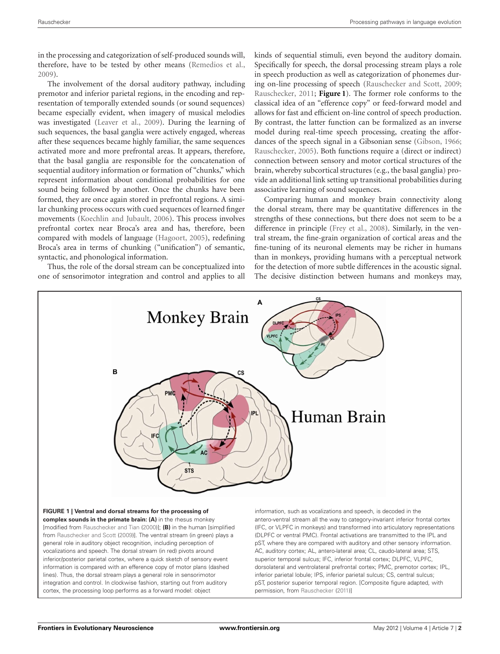in the processing and categorization of self-produced sounds will, therefore, have to be tested by other means [\(Remedios et al.,](#page-3-4) [2009](#page-3-4)).

The involvement of the dorsal auditory pathway, including premotor and inferior parietal regions, in the encoding and representation of temporally extended sounds (or sound sequences) became especially evident, when imagery of musical melodies was investigated [\(Leaver et al.](#page-2-7), [2009](#page-2-7)). During the learning of such sequences, the basal ganglia were actively engaged, whereas after these sequences became highly familiar, the same sequences activated more and more prefrontal areas. It appears, therefore, that the basal ganglia are responsible for the concatenation of sequential auditory information or formation of "chunks," which represent information about conditional probabilities for one sound being followed by another. Once the chunks have been formed, they are once again stored in prefrontal regions. A similar chunking process occurs with cued sequences of learned finger movements [\(Koechlin and Jubault, 2006\)](#page-2-8). This process involves prefrontal cortex near Broca's area and has, therefore, been compared with models of language [\(Hagoort](#page-2-9), [2005](#page-2-9)), redefining Broca's area in terms of chunking ("unification") of semantic, syntactic, and phonological information.

Thus, the role of the dorsal stream can be conceptualized into one of sensorimotor integration and control and applies to all

kinds of sequential stimuli, even beyond the auditory domain. Specifically for speech, the dorsal processing stream plays a role in speech production as well as categorization of phonemes during on-line processing of speech [\(Rauschecker and Scott, 2009;](#page-3-5) [Rauschecker](#page-2-10), [2011](#page-2-10); **[Figure 1](#page-1-0)**). The former role conforms to the classical idea of an "efference copy" or feed-forward model and allows for fast and efficient on-line control of speech production. By contrast, the latter function can be formalized as an inverse model during real-time speech processing, creating the affordances of the speech signal in a Gibsonian sense [\(Gibson](#page-2-11), [1966;](#page-2-11) [Rauschecker](#page-2-12), [2005\)](#page-2-12). Both functions require a (direct or indirect) connection between sensory and motor cortical structures of the brain, whereby subcortical structures (e.g., the basal ganglia) provide an additional link setting up transitional probabilities during associative learning of sound sequences.

Comparing human and monkey brain connectivity along the dorsal stream, there may be quantitative differences in the strengths of these connections, but there does not seem to be a difference in principle [\(Frey et al., 2008](#page-2-13)). Similarly, in the ventral stream, the fine-grain organization of cortical areas and the fine-tuning of its neuronal elements may be richer in humans than in monkeys, providing humans with a perceptual network for the detection of more subtle differences in the acoustic signal. The decisive distinction between humans and monkeys may,



<span id="page-1-0"></span>general role in auditory object recognition, including perception of vocalizations and speech. The dorsal stream (in red) pivots around inferior/posterior parietal cortex, where a quick sketch of sensory event information is compared with an efference copy of motor plans (dashed lines). Thus, the dorsal stream plays a general role in sensorimotor integration and control. In clockwise fashion, starting out from auditory cortex, the processing loop performs as a forward model: object

pST, where they are compared with auditory and other sensory information. AC, auditory cortex; AL, antero-lateral area; CL, caudo-lateral area; STS, superior temporal sulcus; IFC, inferior frontal cortex; DLPFC, VLPFC, dorsolateral and ventrolateral prefrontal cortex; PMC, premotor cortex; IPL, inferior parietal lobule; IPS, inferior parietal sulcus; CS, central sulcus; pST, posterior superior temporal region. [Composite figure adapted, with permission, from [Rauschecker](#page-2-10) [\(2011\)](#page-2-10)]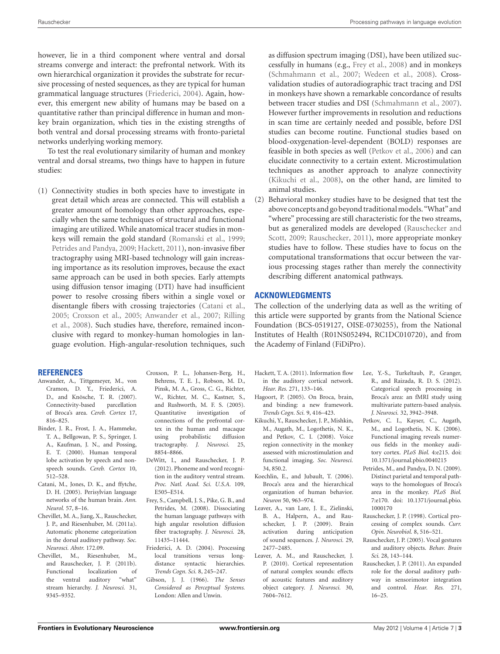however, lie in a third component where ventral and dorsal streams converge and interact: the prefrontal network. With its own hierarchical organization it provides the substrate for recursive processing of nested sequences, as they are typical for human grammatical language structures [\(Friederici, 2004](#page-2-14)). Again, however, this emergent new ability of humans may be based on a quantitative rather than principal difference in human and monkey brain organization, which ties in the existing strengths of both ventral and dorsal processing streams with fronto-parietal networks underlying working memory.

To test the real evolutionary similarity of human and monkey ventral and dorsal streams, two things have to happen in future studies:

(1) Connectivity studies in both species have to investigate in great detail which areas are connected. This will establish a greater amount of homology than other approaches, especially when the same techniques of structural and functional imaging are utilized. While anatomical tracer studies in monkeys will remain the gold standard [\(Romanski et al., 1999;](#page-3-6) [Petrides and Pandya, 2009](#page-2-15); [Hackett, 2011](#page-2-16)), non-invasive fiber tractography using MRI-based technology will gain increasing importance as its resolution improves, because the exact same approach can be used in both species. Early attempts using diffusion tensor imaging (DTI) have had insufficient power to resolve crossing fibers within a single voxel or disentangle fibers with crossing trajectories [\(Catani et al.,](#page-2-17) [2005](#page-2-17)[;](#page-3-7) [Croxson et al.](#page-2-18)[,](#page-3-7) [2005;](#page-2-18) [Anwander et al.](#page-2-19)[,](#page-3-7) [2007](#page-2-19)[;](#page-3-7) Rilling et al., [2008\)](#page-3-7). Such studies have, therefore, remained inconclusive with regard to monkey-human homologies in language evolution. High-angular-resolution techniques, such

### **REFERENCES**

- <span id="page-2-19"></span>Anwander, A., Tittgemeyer, M., von Cramon, D. Y., Friederici, A. D., and Knösche, T. R. (2007). Connectivity-based parcellation of Broca's area. *Cereb. Cortex* 17, 816–825.
- <span id="page-2-1"></span>Binder, J. R., Frost, J. A., Hammeke, T. A., Bellgowan, P. S., Springer, J. A., Kaufman, J. N., and Possing, E. T. (2000). Human temporal lobe activation by speech and nonspeech sounds. *Cereb. Cortex* 10, 512–528.
- <span id="page-2-17"></span>Catani, M., Jones, D. K., and ffytche, D. H. (2005). Perisylvian language networks of the human brain. *Ann. Neurol.* 57, 8–16.
- <span id="page-2-4"></span>Chevillet, M. A., Jiang, X., Rauschecker, J. P., and Riesenhuber, M. (2011a). Automatic phoneme categorization in the dorsal auditory pathway. *Soc. Neurosci. Abstr.* 172.09.
- <span id="page-2-2"></span>Chevillet, M., Riesenhuber, M., and Rauschecker, J. P. (2011b). localization of the ventral auditory "what" stream hierarchy. *J. Neurosci.* 31, 9345–9352.
- <span id="page-2-18"></span>Croxson, P. L., Johansen-Berg, H., Behrens, T. E. J., Robson, M. D., Pinsk, M. A., Gross, C. G., Richter, W., Richter, M. C., Kastner, S., and Rushworth, M. F. S. (2005). Quantitative investigation of connections of the prefrontal cortex in the human and macaque using probabilistic diffusion tractography. *J. Neurosci.* 25, 8854–8866.
- <span id="page-2-3"></span>DeWitt, I., and Rauschecker, J. P. (2012). Phoneme and word recognition in the auditory ventral stream. *Proc. Natl. Acad. Sci. U.S.A.* 109, E505–E514.
- <span id="page-2-13"></span>Frey, S., Campbell, J. S., Pike, G. B., and Petrides, M. (2008). Dissociating the human language pathways with high angular resolution diffusion fiber tractography. *J. Neurosci.* 28, 11435–11444.
- <span id="page-2-14"></span>Friederici, A. D. (2004). Processing local transitions versus longdistance syntactic hierarchies. *Trends Cogn. Sci.* 8, 245–247.
- <span id="page-2-11"></span>Gibson, J. J. (1966). *The Senses Considered as Perceptual Systems.* London: Allen and Unwin.

as diffusion spectrum imaging (DSI), have been utilized successfully in humans (e.g., [Frey et al.](#page-2-13), [2008\)](#page-2-13) and in monkeys [\(Schmahmann et al.](#page-3-8), [2007;](#page-3-8) [Wedeen et al.](#page-3-9), [2008\)](#page-3-9). Crossvalidation studies of autoradiographic tract tracing and DSI in monkeys have shown a remarkable concordance of results between tracer studies and DSI [\(Schmahmann et al., 2007](#page-3-8)). However further improvements in resolution and reductions in scan time are certainly needed and possible, before DSI studies can become routine. Functional studies based on blood-oxygenation-level-dependent (BOLD) responses are feasible in both species as well [\(Petkov et al., 2006](#page-2-20)) and can elucidate connectivity to a certain extent. Microstimulation techniques as another approach to analyze connectivity [\(Kikuchi et al., 2008\)](#page-2-21), on the other hand, are limited to animal studies.

(2) Behavioral monkey studies have to be designed that test the above concepts and go beyond traditionalmodels. "What" and "where" processing are still characteristic for the two streams, but [as generalized models are developed \(](#page-3-5)Rauschecker and Scott, [2009;](#page-3-5) [Rauschecker, 2011](#page-2-10)), more appropriate monkey studies have to follow. These studies have to focus on the computational transformations that occur between the various processing stages rather than merely the connectivity describing different anatomical pathways.

## **ACKNOWLEDGMENTS**

The collection of the underlying data as well as the writing of this article were supported by grants from the National Science Foundation (BCS-0519127, OISE-0730255), from the National Institutes of Health (R01NS052494, RC1DC010720), and from the Academy of Finland (FiDiPro).

- <span id="page-2-16"></span>Hackett, T. A. (2011). Information flow in the auditory cortical network. *Hear. Res.* 271, 133–146.
- <span id="page-2-9"></span>Hagoort, P. (2005). On Broca, brain, and binding: a new framework. *Trends Cogn. Sci.* 9, 416–423.
- <span id="page-2-21"></span>Kikuchi, Y., Rauschecker, J. P., Mishkin, M., Augath, M., Logothetis, N. K., and Petkov, C. I. (2008). Voice region connectivity in the monkey assessed with microstimulation and functional imaging. *Soc. Neurosci.* 34, 850.2.
- <span id="page-2-8"></span>Koechlin, E., and Jubault, T. (2006). Broca's area and the hierarchical organization of human behavior. *Neuron* 50, 963–974.
- <span id="page-2-7"></span>Leaver, A., van Lare, J. E., Zielinski, B. A., Halpern, A., and Rauschecker, J. P. (2009). Brain activation during anticipation of sound sequences. *J*. *Neurosci.* 29, 2477–2485.
- <span id="page-2-6"></span>Leaver, A. M., and Rauschecker, J. P. (2010). Cortical representation of natural complex sounds: effects of acoustic features and auditory object category. *J. Neurosci.* 30, 7604–7612.
- <span id="page-2-5"></span>Lee, Y.-S., Turkeltaub, P., Granger, R., and Raizada, R. D. S. (2012). Categorical speech processing in Broca's area: an fMRI study using multivariate pattern-based analysis. *J. Neurosci.* 32, 3942–3948.
- <span id="page-2-20"></span>Petkov, C. I., Kayser, C., Augath, M., and Logothetis, N. K. (2006). Functional imaging reveals numerous fields in the monkey auditory cortex. *PLoS Biol.* 4:e215. doi: 10.1371/journal.pbio.0040215
- <span id="page-2-15"></span>Petrides, M., and Pandya, D. N. (2009). Distinct parietal and temporal pathways to the homologues of Broca's area in the monkey. *PLoS Biol.* 7:e170. doi: 10.1371/journal.pbio. 1000170
- <span id="page-2-0"></span>Rauschecker, J. P. (1998). Cortical processing of complex sounds. *Curr. Opin. Neurobiol.* 8, 516–521.
- <span id="page-2-12"></span>Rauschecker, J. P. (2005). Vocal gestures and auditory objects. *Behav. Brain Sci.* 28, 143–144.
- <span id="page-2-10"></span>Rauschecker, J. P. (2011). An expanded role for the dorsal auditory pathway in sensorimotor integration and control. *Hear. Res.* 271, 16–25.